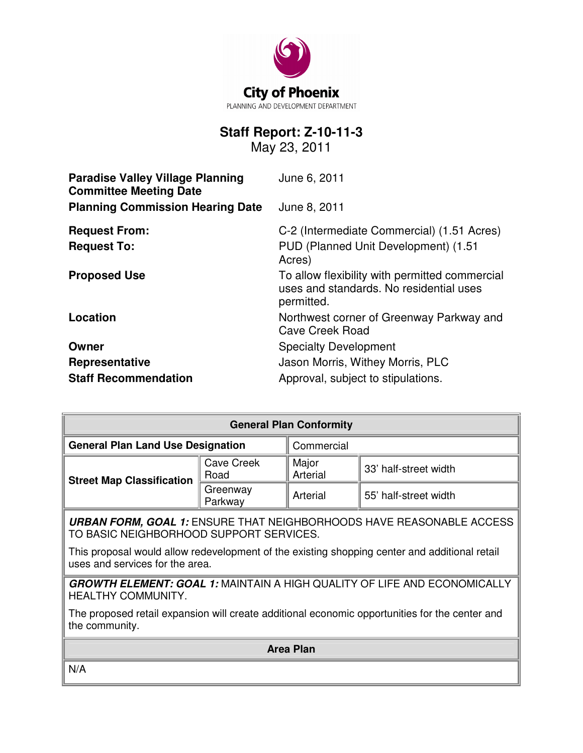

# **Staff Report: Z-10-11-3**

May 23, 2011

| <b>Paradise Valley Village Planning</b><br><b>Committee Meeting Date</b> | June 6, 2011                                                                                            |
|--------------------------------------------------------------------------|---------------------------------------------------------------------------------------------------------|
| <b>Planning Commission Hearing Date</b>                                  | June 8, 2011                                                                                            |
| <b>Request From:</b><br><b>Request To:</b>                               | C-2 (Intermediate Commercial) (1.51 Acres)<br>PUD (Planned Unit Development) (1.51<br>Acres)            |
| <b>Proposed Use</b>                                                      | To allow flexibility with permitted commercial<br>uses and standards. No residential uses<br>permitted. |
| Location                                                                 | Northwest corner of Greenway Parkway and<br>Cave Creek Road                                             |
| Owner                                                                    | <b>Specialty Development</b>                                                                            |
| Representative                                                           | Jason Morris, Withey Morris, PLC                                                                        |
| <b>Staff Recommendation</b>                                              | Approval, subject to stipulations.                                                                      |

| <b>General Plan Conformity</b>           |                     |                   |                       |  |
|------------------------------------------|---------------------|-------------------|-----------------------|--|
| <b>General Plan Land Use Designation</b> |                     | Commercial        |                       |  |
| <b>Street Map Classification</b>         | Cave Creek<br>Road  | Major<br>Arterial | 33' half-street width |  |
|                                          | Greenway<br>Parkway | Arterial          | 55' half-street width |  |

**URBAN FORM, GOAL 1:** ENSURE THAT NEIGHBORHOODS HAVE REASONABLE ACCESS TO BASIC NEIGHBORHOOD SUPPORT SERVICES.

This proposal would allow redevelopment of the existing shopping center and additional retail uses and services for the area.

**GROWTH ELEMENT: GOAL 1:** MAINTAIN A HIGH QUALITY OF LIFE AND ECONOMICALLY HEALTHY COMMUNITY.

The proposed retail expansion will create additional economic opportunities for the center and the community.

**Area Plan** 

N/A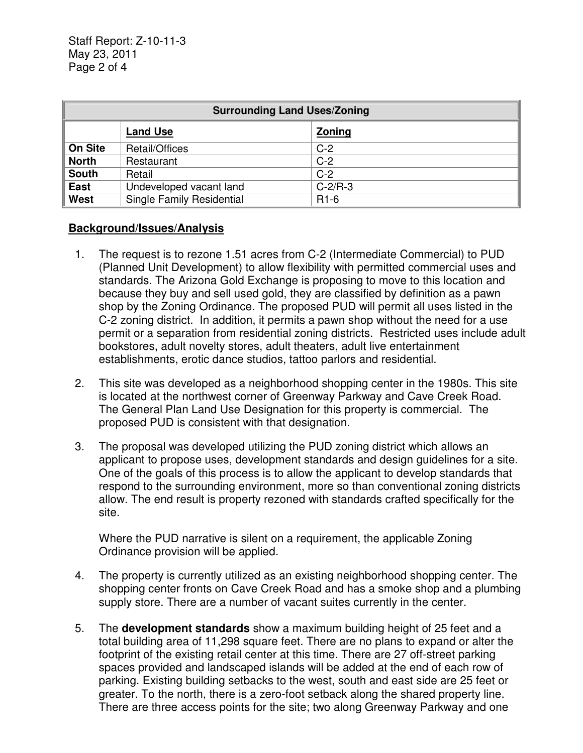| <b>Surrounding Land Uses/Zoning</b> |                           |           |  |
|-------------------------------------|---------------------------|-----------|--|
|                                     | <b>Land Use</b>           | Zoning    |  |
| <b>On Site</b>                      | Retail/Offices            | $C-2$     |  |
| <b>North</b>                        | Restaurant                | $C-2$     |  |
| <b>South</b>                        | Retail                    | $C-2$     |  |
| <b>East</b>                         | Undeveloped vacant land   | $C-2/R-3$ |  |
| West                                | Single Family Residential | $R1-6$    |  |

## **Background/Issues/Analysis**

- 1. The request is to rezone 1.51 acres from C-2 (Intermediate Commercial) to PUD (Planned Unit Development) to allow flexibility with permitted commercial uses and standards. The Arizona Gold Exchange is proposing to move to this location and because they buy and sell used gold, they are classified by definition as a pawn shop by the Zoning Ordinance. The proposed PUD will permit all uses listed in the C-2 zoning district. In addition, it permits a pawn shop without the need for a use permit or a separation from residential zoning districts. Restricted uses include adult bookstores, adult novelty stores, adult theaters, adult live entertainment establishments, erotic dance studios, tattoo parlors and residential.
- 2. This site was developed as a neighborhood shopping center in the 1980s. This site is located at the northwest corner of Greenway Parkway and Cave Creek Road. The General Plan Land Use Designation for this property is commercial. The proposed PUD is consistent with that designation.
- 3. The proposal was developed utilizing the PUD zoning district which allows an applicant to propose uses, development standards and design guidelines for a site. One of the goals of this process is to allow the applicant to develop standards that respond to the surrounding environment, more so than conventional zoning districts allow. The end result is property rezoned with standards crafted specifically for the site.

Where the PUD narrative is silent on a requirement, the applicable Zoning Ordinance provision will be applied.

- 4. The property is currently utilized as an existing neighborhood shopping center. The shopping center fronts on Cave Creek Road and has a smoke shop and a plumbing supply store. There are a number of vacant suites currently in the center.
- 5. The **development standards** show a maximum building height of 25 feet and a total building area of 11,298 square feet. There are no plans to expand or alter the footprint of the existing retail center at this time. There are 27 off-street parking spaces provided and landscaped islands will be added at the end of each row of parking. Existing building setbacks to the west, south and east side are 25 feet or greater. To the north, there is a zero-foot setback along the shared property line. There are three access points for the site; two along Greenway Parkway and one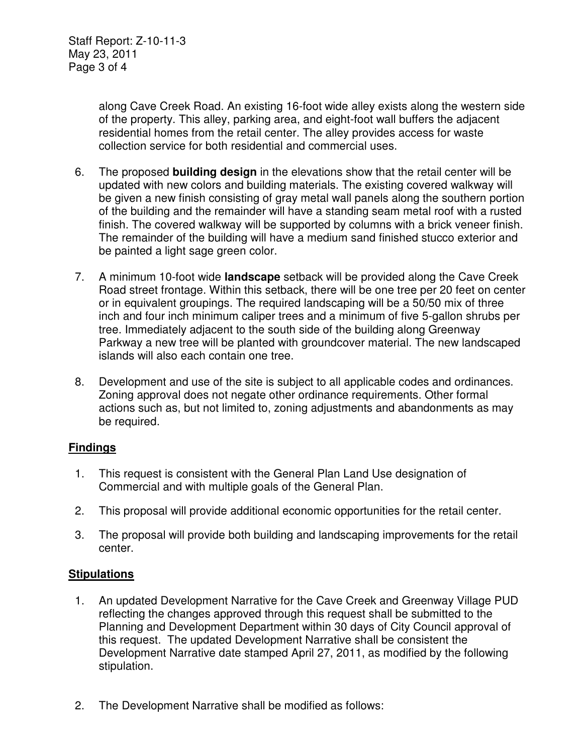along Cave Creek Road. An existing 16-foot wide alley exists along the western side of the property. This alley, parking area, and eight-foot wall buffers the adjacent residential homes from the retail center. The alley provides access for waste collection service for both residential and commercial uses.

- 6. The proposed **building design** in the elevations show that the retail center will be updated with new colors and building materials. The existing covered walkway will be given a new finish consisting of gray metal wall panels along the southern portion of the building and the remainder will have a standing seam metal roof with a rusted finish. The covered walkway will be supported by columns with a brick veneer finish. The remainder of the building will have a medium sand finished stucco exterior and be painted a light sage green color.
- 7. A minimum 10-foot wide **landscape** setback will be provided along the Cave Creek Road street frontage. Within this setback, there will be one tree per 20 feet on center or in equivalent groupings. The required landscaping will be a 50/50 mix of three inch and four inch minimum caliper trees and a minimum of five 5-gallon shrubs per tree. Immediately adjacent to the south side of the building along Greenway Parkway a new tree will be planted with groundcover material. The new landscaped islands will also each contain one tree.
- 8. Development and use of the site is subject to all applicable codes and ordinances. Zoning approval does not negate other ordinance requirements. Other formal actions such as, but not limited to, zoning adjustments and abandonments as may be required.

## **Findings**

- 1. This request is consistent with the General Plan Land Use designation of Commercial and with multiple goals of the General Plan.
- 2. This proposal will provide additional economic opportunities for the retail center.
- 3. The proposal will provide both building and landscaping improvements for the retail center.

## **Stipulations**

- 1. An updated Development Narrative for the Cave Creek and Greenway Village PUD reflecting the changes approved through this request shall be submitted to the Planning and Development Department within 30 days of City Council approval of this request. The updated Development Narrative shall be consistent the Development Narrative date stamped April 27, 2011, as modified by the following stipulation.
- 2. The Development Narrative shall be modified as follows: